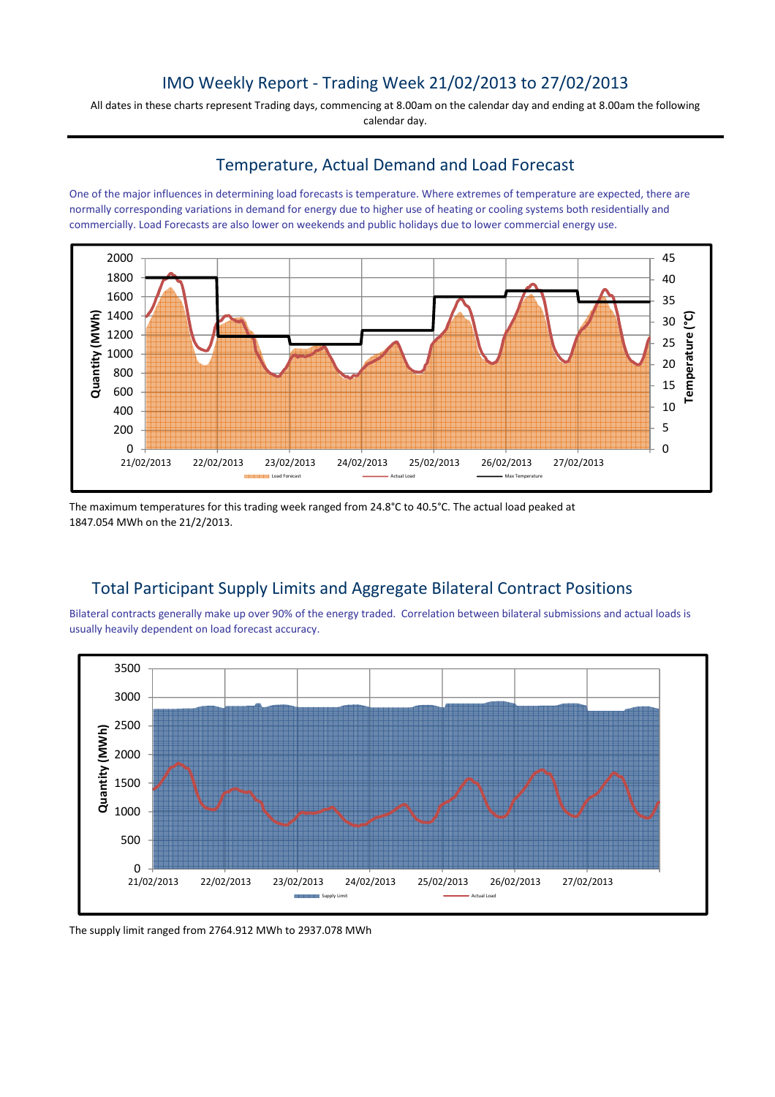# IMO Weekly Report - Trading Week 21/02/2013 to 27/02/2013

All dates in these charts represent Trading days, commencing at 8.00am on the calendar day and ending at 8.00am the following calendar day.

### Temperature, Actual Demand and Load Forecast

One of the major influences in determining load forecasts is temperature. Where extremes of temperature are expected, there are normally corresponding variations in demand for energy due to higher use of heating or cooling systems both residentially and commercially. Load Forecasts are also lower on weekends and public holidays due to lower commercial energy use.



The maximum temperatures for this trading week ranged from 24.8°C to 40.5°C. The actual load peaked at 1847.054 MWh on the 21/2/2013.

## Total Participant Supply Limits and Aggregate Bilateral Contract Positions

Bilateral contracts generally make up over 90% of the energy traded. Correlation between bilateral submissions and actual loads is usually heavily dependent on load forecast accuracy.



The supply limit ranged from 2764.912 MWh to 2937.078 MWh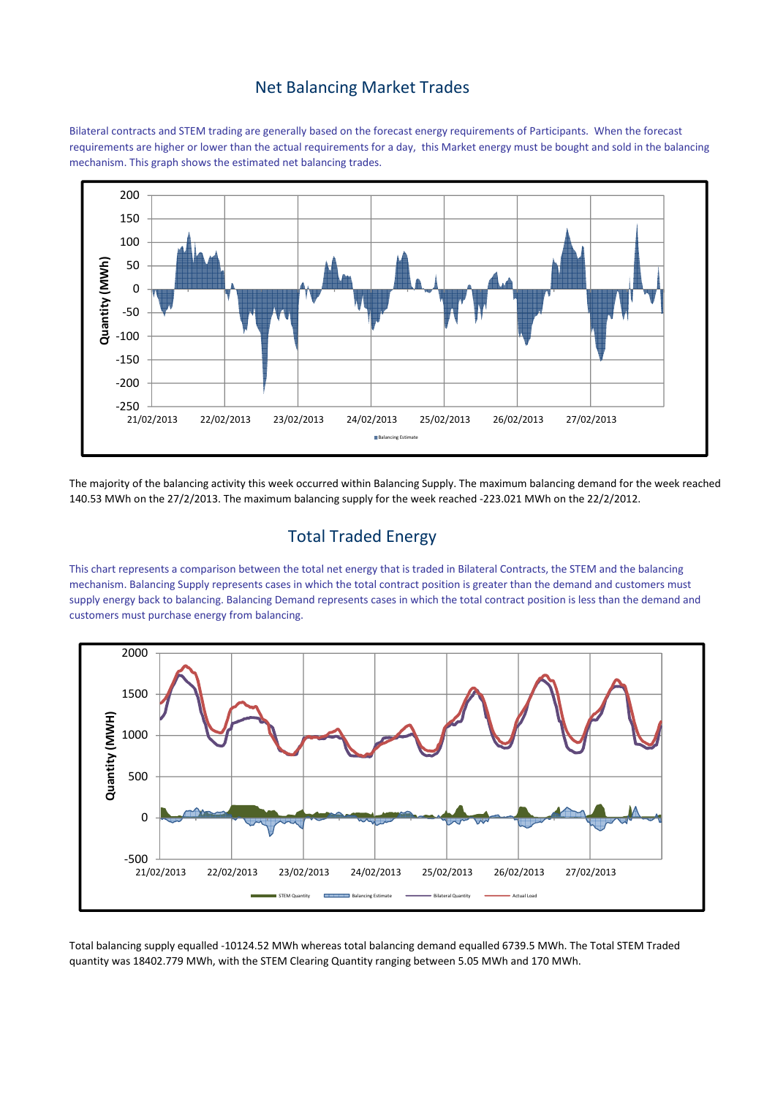### Net Balancing Market Trades

Bilateral contracts and STEM trading are generally based on the forecast energy requirements of Participants. When the forecast requirements are higher or lower than the actual requirements for a day, this Market energy must be bought and sold in the balancing mechanism. This graph shows the estimated net balancing trades.



The majority of the balancing activity this week occurred within Balancing Supply. The maximum balancing demand for the week reached 140.53 MWh on the 27/2/2013. The maximum balancing supply for the week reached -223.021 MWh on the 22/2/2012.

## Total Traded Energy

This chart represents a comparison between the total net energy that is traded in Bilateral Contracts, the STEM and the balancing mechanism. Balancing Supply represents cases in which the total contract position is greater than the demand and customers must supply energy back to balancing. Balancing Demand represents cases in which the total contract position is less than the demand and customers must purchase energy from balancing.



Total balancing supply equalled -10124.52 MWh whereas total balancing demand equalled 6739.5 MWh. The Total STEM Traded quantity was 18402.779 MWh, with the STEM Clearing Quantity ranging between 5.05 MWh and 170 MWh.